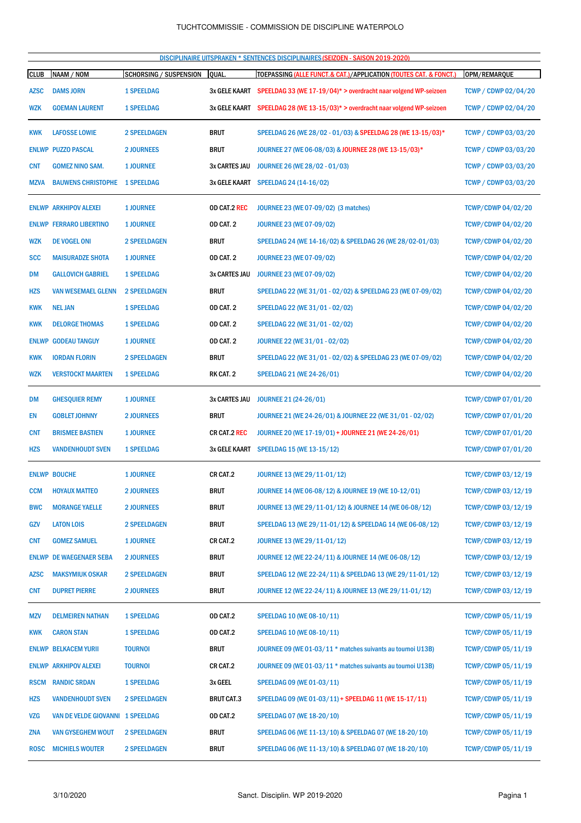DISCIPLINAIRE UITSPRAKEN \* SENTENCES DISCIPLINAIRES (SEIZOEN - SAISON 2019-2020)

| <b>CLUB</b> | NAAM / NOM                       | <b>SCHORSING / SUSPENSION</b> | <b>QUAL</b>          | TOEPASSING (ALLE FUNCT.& CAT.)/APPLICATION (TOUTES CAT. & FONCT.)             | OPM/REMARQUE                |
|-------------|----------------------------------|-------------------------------|----------------------|-------------------------------------------------------------------------------|-----------------------------|
| <b>AZSC</b> | <b>DAMS JORN</b>                 | <b>1 SPEELDAG</b>             | 3x GELE KAART        | SPEELDAG 33 (WE 17-19/04)* > overdracht naar volgend WP-seizoen               | <b>TCWP / CDWP 02/04/20</b> |
| <b>WZK</b>  | <b>GOEMAN LAURENT</b>            | <b>1 SPEELDAG</b>             |                      | 3x GELE KAART SPEELDAG 28 (WE 13-15/03)* > overdracht naar volgend WP-seizoen | <b>TCWP / CDWP 02/04/20</b> |
| <b>KWK</b>  | <b>LAFOSSE LOWIE</b>             | <b>2 SPEELDAGEN</b>           | <b>BRUT</b>          | SPEELDAG 26 (WE 28/02 - 01/03) & SPEELDAG 28 (WE 13-15/03)*                   | <b>TCWP / CDWP 03/03/20</b> |
|             | <b>ENLWP PUZZO PASCAL</b>        | <b>2 JOURNEES</b>             | <b>BRUT</b>          | JOURNEE 27 (WE 06-08/03) & JOURNEE 28 (WE 13-15/03)*                          | <b>TCWP / CDWP 03/03/20</b> |
| <b>CNT</b>  | <b>GOMEZ NINO SAM.</b>           | <b>1 JOURNEE</b>              | 3x CARTES JAU        | JOURNEE 26 (WE 28/02 - 01/03)                                                 | <b>TCWP / CDWP 03/03/20</b> |
| <b>MZVA</b> | <b>BAUWENS CHRISTOPHE</b>        | <b>1 SPEELDAG</b>             |                      | 3x GELE KAART SPEELDAG 24 (14-16/02)                                          | <b>TCWP / CDWP 03/03/20</b> |
|             | <b>ENLWP ARKHIPOV ALEXEI</b>     | <b>1 JOURNEE</b>              | OD CAT.2 REC         | JOURNEE 23 (WE 07-09/02) (3 matches)                                          | <b>TCWP/CDWP 04/02/20</b>   |
|             | <b>ENLWP FERRARO LIBERTINO</b>   | <b>1 JOURNEE</b>              | OD CAT. 2            | <b>JOURNEE 23 (WE 07-09/02)</b>                                               | <b>TCWP/CDWP 04/02/20</b>   |
| <b>WZK</b>  | <b>DE VOGEL ONI</b>              | <b>2 SPEELDAGEN</b>           | <b>BRUT</b>          | SPEELDAG 24 (WE 14-16/02) & SPEELDAG 26 (WE 28/02-01/03)                      | <b>TCWP/CDWP 04/02/20</b>   |
| <b>SCC</b>  | <b>MAISURADZE SHOTA</b>          | <b>1 JOURNEE</b>              | OD CAT. 2            | <b>JOURNEE 23 (WE 07-09/02)</b>                                               | <b>TCWP/CDWP 04/02/20</b>   |
| DM          | <b>GALLOVICH GABRIEL</b>         | <b>1 SPEELDAG</b>             | 3x CARTES JAU        | <b>JOURNEE 23 (WE 07-09/02)</b>                                               | <b>TCWP/CDWP 04/02/20</b>   |
| <b>HZS</b>  | <b>VAN WESEMAEL GLENN</b>        | <b>2 SPEELDAGEN</b>           | <b>BRUT</b>          | SPEELDAG 22 (WE 31/01 - 02/02) & SPEELDAG 23 (WE 07-09/02)                    | <b>TCWP/CDWP 04/02/20</b>   |
| <b>KWK</b>  | <b>NEL JAN</b>                   | <b>1 SPEELDAG</b>             | OD CAT. 2            | SPEELDAG 22 (WE 31/01 - 02/02)                                                | <b>TCWP/CDWP 04/02/20</b>   |
| <b>KWK</b>  | <b>DELORGE THOMAS</b>            | <b>1 SPEELDAG</b>             | OD CAT. 2            | SPEELDAG 22 (WE 31/01 - 02/02)                                                | <b>TCWP/CDWP 04/02/20</b>   |
|             | <b>ENLWP GODEAU TANGUY</b>       | <b>1 JOURNEE</b>              | OD CAT. 2            | JOURNEE 22 (WE 31/01 - 02/02)                                                 | <b>TCWP/CDWP 04/02/20</b>   |
| <b>KWK</b>  | <b>IORDAN FLORIN</b>             | <b>2 SPEELDAGEN</b>           | <b>BRUT</b>          | SPEELDAG 22 (WE 31/01 - 02/02) & SPEELDAG 23 (WE 07-09/02)                    | <b>TCWP/CDWP 04/02/20</b>   |
| <b>WZK</b>  | <b>VERSTOCKT MAARTEN</b>         | <b>1 SPEELDAG</b>             | RK CAT. 2            | SPEELDAG 21 (WE 24-26/01)                                                     | <b>TCWP/CDWP 04/02/20</b>   |
| <b>DM</b>   | <b>GHESQUIER REMY</b>            | <b>1 JOURNEE</b>              | <b>3x CARTES JAU</b> | <b>JOURNEE 21 (24-26/01)</b>                                                  | <b>TCWP/CDWP 07/01/20</b>   |
| EN          | <b>GOBLET JOHNNY</b>             | <b>2 JOURNEES</b>             | <b>BRUT</b>          | JOURNEE 21 (WE 24-26/01) & JOURNEE 22 (WE 31/01 - 02/02)                      | <b>TCWP/CDWP 07/01/20</b>   |
| <b>CNT</b>  | <b>BRISMEE BASTIEN</b>           | <b>1 JOURNEE</b>              | CR CAT.2 REC         | JOURNEE 20 (WE 17-19/01) + JOURNEE 21 (WE 24-26/01)                           | <b>TCWP/CDWP 07/01/20</b>   |
| <b>HZS</b>  | <b>VANDENHOUDT SVEN</b>          | <b>1 SPEELDAG</b>             | <b>3x GELE KAART</b> | SPEELDAG 15 (WE 13-15/12)                                                     | <b>TCWP/CDWP 07/01/20</b>   |
|             | <b>ENLWP BOUCHE</b>              | <b>1 JOURNEE</b>              | CR CAT.2             | JOURNEE 13 (WE 29/11-01/12)                                                   | TCWP/CDWP 03/12/19          |
| <b>CCM</b>  | <b>HOYAUX MATTEO</b>             | <b>2 JOURNEES</b>             | <b>BRUT</b>          | JOURNEE 14 (WE 06-08/12) & JOURNEE 19 (WE 10-12/01)                           | TCWP/CDWP 03/12/19          |
| <b>BWC</b>  | <b>MORANGE YAELLE</b>            | <b>2 JOURNEES</b>             | <b>BRUT</b>          | JOURNEE 13 (WE 29/11-01/12) & JOURNEE 14 (WE 06-08/12)                        | TCWP/CDWP 03/12/19          |
| GZV         | <b>LATON LOIS</b>                | <b>2 SPEELDAGEN</b>           | <b>BRUT</b>          | SPEELDAG 13 (WE 29/11-01/12) & SPEELDAG 14 (WE 06-08/12)                      | TCWP/CDWP 03/12/19          |
| <b>CNT</b>  | <b>GOMEZ SAMUEL</b>              | <b>1 JOURNEE</b>              | CR CAT.2             | JOURNEE 13 (WE 29/11-01/12)                                                   | <b>TCWP/CDWP 03/12/19</b>   |
|             | <b>ENLWP DE WAEGENAER SEBA</b>   | <b>2 JOURNEES</b>             | <b>BRUT</b>          | JOURNEE 12 (WE 22-24/11) & JOURNEE 14 (WE 06-08/12)                           | TCWP/CDWP 03/12/19          |
| <b>AZSC</b> | <b>MAKSYMIUK OSKAR</b>           | <b>2 SPEELDAGEN</b>           | <b>BRUT</b>          | SPEELDAG 12 (WE 22-24/11) & SPEELDAG 13 (WE 29/11-01/12)                      | <b>TCWP/CDWP 03/12/19</b>   |
| <b>CNT</b>  | <b>DUPRET PIERRE</b>             | <b>2 JOURNEES</b>             | <b>BRUT</b>          | JOURNEE 12 (WE 22-24/11) & JOURNEE 13 (WE 29/11-01/12)                        | TCWP/CDWP 03/12/19          |
| MZV         | <b>DELMEIREN NATHAN</b>          | <b>1 SPEELDAG</b>             | OD CAT.2             | SPEELDAG 10 (WE 08-10/11)                                                     | <b>TCWP/CDWP 05/11/19</b>   |
| <b>KWK</b>  | <b>CARON STAN</b>                | <b>1 SPEELDAG</b>             | OD CAT.2             | SPEELDAG 10 (WE 08-10/11)                                                     | <b>TCWP/CDWP 05/11/19</b>   |
|             | <b>ENLWP BELKACEM YURII</b>      | <b>TOURNOI</b>                | <b>BRUT</b>          | JOURNEE 09 (WE 01-03/11 * matches suivants au tournoi U13B)                   | TCWP/CDWP 05/11/19          |
|             | <b>ENLWP ARKHIPOV ALEXEI</b>     | <b>TOURNOI</b>                | CR CAT.2             | JOURNEE 09 (WE 01-03/11 * matches suivants au tournoi U13B)                   | <b>TCWP/CDWP 05/11/19</b>   |
| <b>RSCM</b> | <b>RANDIC SRDAN</b>              | <b>1 SPEELDAG</b>             | 3x GEEL              | <b>SPEELDAG 09 (WE 01-03/11)</b>                                              | <b>TCWP/CDWP 05/11/19</b>   |
| <b>HZS</b>  | <b>VANDENHOUDT SVEN</b>          | <b>2 SPEELDAGEN</b>           | <b>BRUT CAT.3</b>    | SPEELDAG 09 (WE 01-03/11) + SPEELDAG 11 (WE 15-17/11)                         | <b>TCWP/CDWP 05/11/19</b>   |
| <b>VZG</b>  | VAN DE VELDE GIOVANNI 1 SPEELDAG |                               | OD CAT.2             | <b>SPEELDAG 07 (WE 18-20/10)</b>                                              | <b>TCWP/CDWP 05/11/19</b>   |
| <b>ZNA</b>  | <b>VAN GYSEGHEM WOUT</b>         | <b>2 SPEELDAGEN</b>           | <b>BRUT</b>          | SPEELDAG 06 (WE 11-13/10) & SPEELDAG 07 (WE 18-20/10)                         | <b>TCWP/CDWP 05/11/19</b>   |
| <b>ROSC</b> | <b>MICHIELS WOUTER</b>           | <b>2 SPEELDAGEN</b>           | <b>BRUT</b>          | SPEELDAG 06 (WE 11-13/10) & SPEELDAG 07 (WE 18-20/10)                         | <b>TCWP/CDWP 05/11/19</b>   |